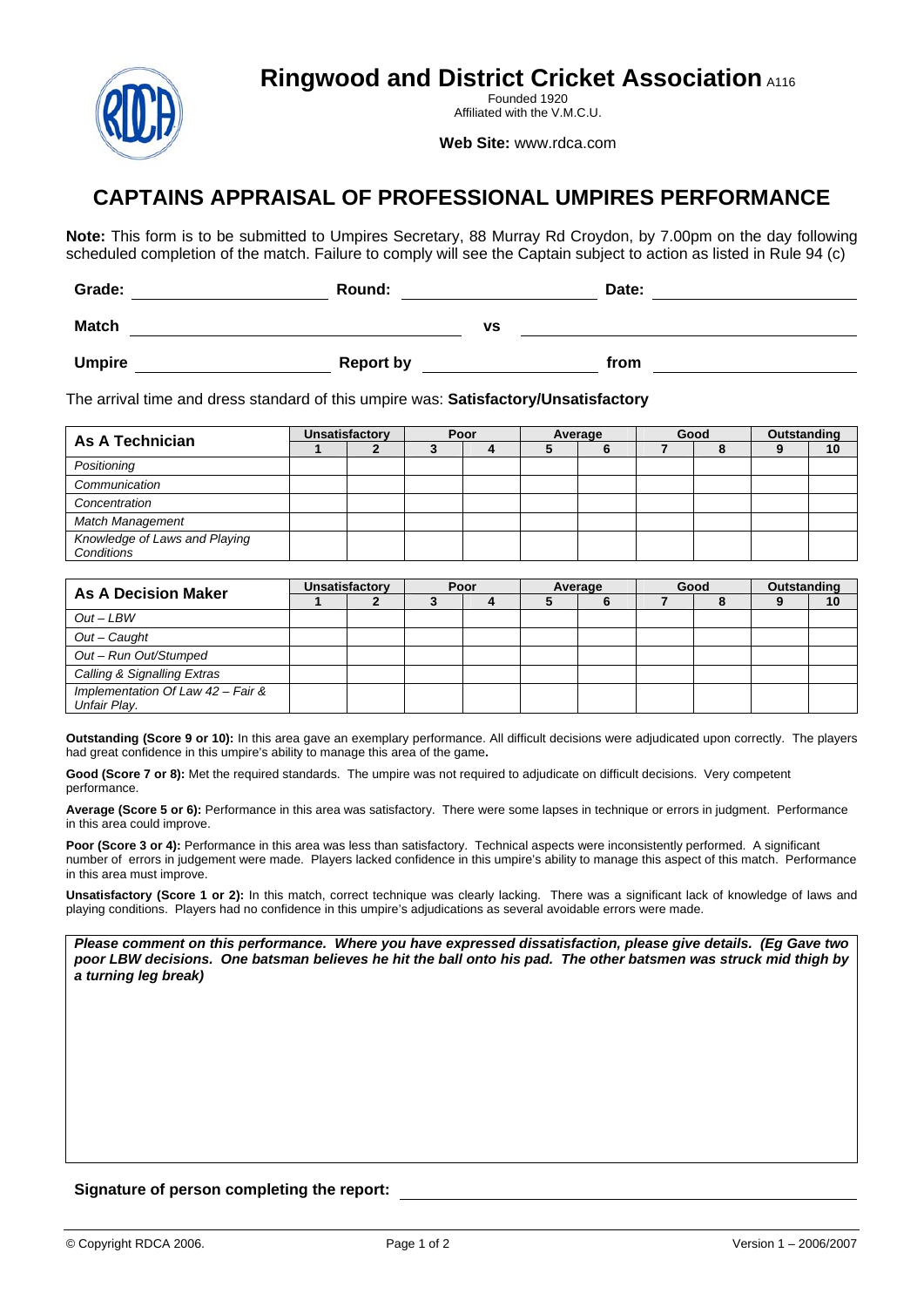**Ringwood and District Cricket Association A116** 



Founded 1920 Affiliated with the V.M.C.U.

**Web Site:** www.rdca.com

## **CAPTAINS APPRAISAL OF PROFESSIONAL UMPIRES PERFORMANCE**

**Note:** This form is to be submitted to Umpires Secretary, 88 Murray Rd Croydon, by 7.00pm on the day following scheduled completion of the match. Failure to comply will see the Captain subject to action as listed in Rule 94 (c)

| Grade:        | Round:           | Date: |
|---------------|------------------|-------|
| <b>Match</b>  | ٧S               |       |
| <b>Umpire</b> | <b>Report by</b> | from  |

The arrival time and dress standard of this umpire was: **Satisfactory/Unsatisfactory** 

| As A Technician                             | <b>Unsatisfactory</b> |  | Poor |  | Average |  | Good |  | Outstanding |    |
|---------------------------------------------|-----------------------|--|------|--|---------|--|------|--|-------------|----|
|                                             |                       |  |      |  |         |  |      |  |             | 10 |
| Positioning                                 |                       |  |      |  |         |  |      |  |             |    |
| Communication                               |                       |  |      |  |         |  |      |  |             |    |
| Concentration                               |                       |  |      |  |         |  |      |  |             |    |
| Match Management                            |                       |  |      |  |         |  |      |  |             |    |
| Knowledge of Laws and Playing<br>Conditions |                       |  |      |  |         |  |      |  |             |    |

| <b>As A Decision Maker</b>                        | <b>Unsatisfactory</b> |  | Poor |  | Average |  | Good |  | Outstanding |    |
|---------------------------------------------------|-----------------------|--|------|--|---------|--|------|--|-------------|----|
|                                                   |                       |  |      |  |         |  |      |  |             | 10 |
| $Out-LBW$                                         |                       |  |      |  |         |  |      |  |             |    |
| Out - Caught                                      |                       |  |      |  |         |  |      |  |             |    |
| Out - Run Out/Stumped                             |                       |  |      |  |         |  |      |  |             |    |
| Calling & Signalling Extras                       |                       |  |      |  |         |  |      |  |             |    |
| Implementation Of Law 42 - Fair &<br>Unfair Play. |                       |  |      |  |         |  |      |  |             |    |

**Outstanding (Score 9 or 10):** In this area gave an exemplary performance. All difficult decisions were adjudicated upon correctly. The players had great confidence in this umpire's ability to manage this area of the game**.** 

Good (Score 7 or 8): Met the required standards. The umpire was not required to adjudicate on difficult decisions. Very competent performance.

**Average (Score 5 or 6):** Performance in this area was satisfactory. There were some lapses in technique or errors in judgment. Performance in this area could improve.

Poor (Score 3 or 4): Performance in this area was less than satisfactory. Technical aspects were inconsistently performed. A significant number of errors in judgement were made. Players lacked confidence in this umpire's ability to manage this aspect of this match. Performance in this area must improve.

Unsatisfactory (Score 1 or 2): In this match, correct technique was clearly lacking. There was a significant lack of knowledge of laws and playing conditions. Players had no confidence in this umpire's adjudications as several avoidable errors were made.

*Please comment on this performance. Where you have expressed dissatisfaction, please give details. (Eg Gave two poor LBW decisions. One batsman believes he hit the ball onto his pad. The other batsmen was struck mid thigh by a turning leg break)* 

## **Signature of person completing the report:**